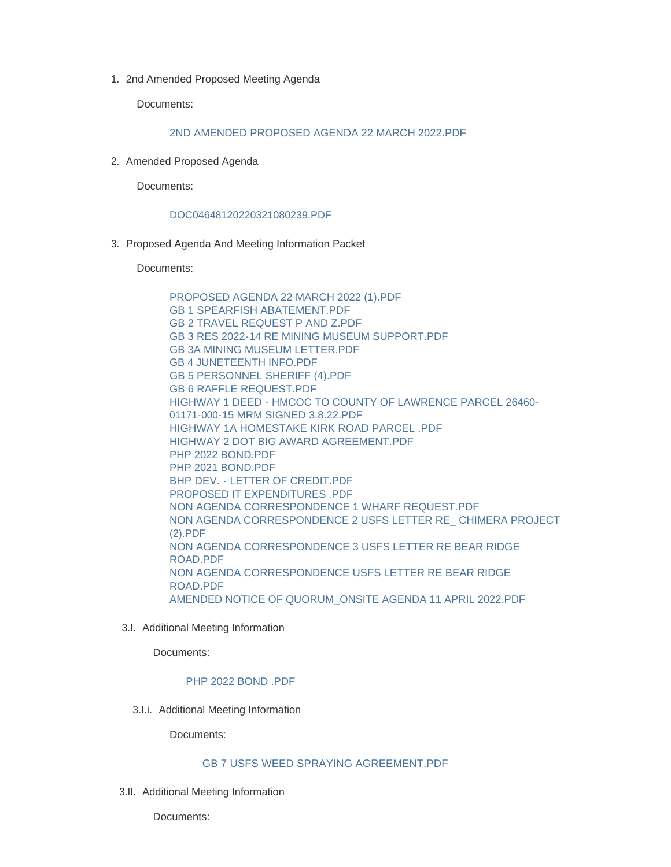1. 2nd Amended Proposed Meeting Agenda

Documents:

### [2ND AMENDED PROPOSED AGENDA 22 MARCH 2022.PDF](https://www.lawrence.sd.us/AgendaCenter/ViewFile/Item/598?fileID=7847)

2. Amended Proposed Agenda

Documents:

#### [DOC04648120220321080239.PDF](https://www.lawrence.sd.us/AgendaCenter/ViewFile/Item/596?fileID=7845)

3. Proposed Agenda And Meeting Information Packet

Documents:

[PROPOSED AGENDA 22 MARCH 2022 \(1\).PDF](https://www.lawrence.sd.us/AgendaCenter/ViewFile/Item/590?fileID=7835) [GB 1 SPEARFISH ABATEMENT.PDF](https://www.lawrence.sd.us/AgendaCenter/ViewFile/Item/590?fileID=7816) [GB 2 TRAVEL REQUEST P AND Z.PDF](https://www.lawrence.sd.us/AgendaCenter/ViewFile/Item/590?fileID=7817) [GB 3 RES 2022-14 RE MINING MUSEUM SUPPORT.PDF](https://www.lawrence.sd.us/AgendaCenter/ViewFile/Item/590?fileID=7839) [GB 3A MINING MUSEUM LETTER.PDF](https://www.lawrence.sd.us/AgendaCenter/ViewFile/Item/590?fileID=7838) [GB 4 JUNETEENTH INFO.PDF](https://www.lawrence.sd.us/AgendaCenter/ViewFile/Item/590?fileID=7819) [GB 5 PERSONNEL SHERIFF \(4\).PDF](https://www.lawrence.sd.us/AgendaCenter/ViewFile/Item/590?fileID=7820) [GB 6 RAFFLE REQUEST.PDF](https://www.lawrence.sd.us/AgendaCenter/ViewFile/Item/590?fileID=7821) [HIGHWAY 1 DEED - HMCOC TO COUNTY OF LAWRENCE PARCEL 26460-](https://www.lawrence.sd.us/AgendaCenter/ViewFile/Item/590?fileID=7822) 01171-000-15 MRM SIGNED 3.8.22.PDF [HIGHWAY 1A HOMESTAKE KIRK ROAD PARCEL .PDF](https://www.lawrence.sd.us/AgendaCenter/ViewFile/Item/590?fileID=7823) [HIGHWAY 2 DOT BIG AWARD AGREEMENT.PDF](https://www.lawrence.sd.us/AgendaCenter/ViewFile/Item/590?fileID=7824) PHP 2022 BOND PDF [PHP 2021 BOND.PDF](https://www.lawrence.sd.us/AgendaCenter/ViewFile/Item/590?fileID=7826) [BHP DEV. - LETTER OF CREDIT.PDF](https://www.lawrence.sd.us/AgendaCenter/ViewFile/Item/590?fileID=7827) [PROPOSED IT EXPENDITURES .PDF](https://www.lawrence.sd.us/AgendaCenter/ViewFile/Item/590?fileID=7828) [NON AGENDA CORRESPONDENCE 1 WHARF REQUEST.PDF](https://www.lawrence.sd.us/AgendaCenter/ViewFile/Item/590?fileID=7829) [NON AGENDA CORRESPONDENCE 2 USFS LETTER RE\\_ CHIMERA PROJECT](https://www.lawrence.sd.us/AgendaCenter/ViewFile/Item/590?fileID=7837)  (2).PDF [NON AGENDA CORRESPONDENCE 3 USFS LETTER RE BEAR RIDGE](https://www.lawrence.sd.us/AgendaCenter/ViewFile/Item/590?fileID=7836)  ROAD.PDF [NON AGENDA CORRESPONDENCE USFS LETTER RE BEAR RIDGE](https://www.lawrence.sd.us/AgendaCenter/ViewFile/Item/590?fileID=7832)  ROAD.PDF [AMENDED NOTICE OF QUORUM\\_ONSITE AGENDA 11 APRIL 2022.PDF](https://www.lawrence.sd.us/AgendaCenter/ViewFile/Item/590?fileID=7833)

3.I. Additional Meeting Information

Documents:

### [PHP 2022 BOND .PDF](https://www.lawrence.sd.us/AgendaCenter/ViewFile/Item/593?fileID=7842)

3.I.i. Additional Meeting Information

Documents:

#### [GB 7 USFS WEED SPRAYING AGREEMENT.PDF](https://www.lawrence.sd.us/AgendaCenter/ViewFile/Item/595?fileID=7844)

3.II. Additional Meeting Information

Documents: